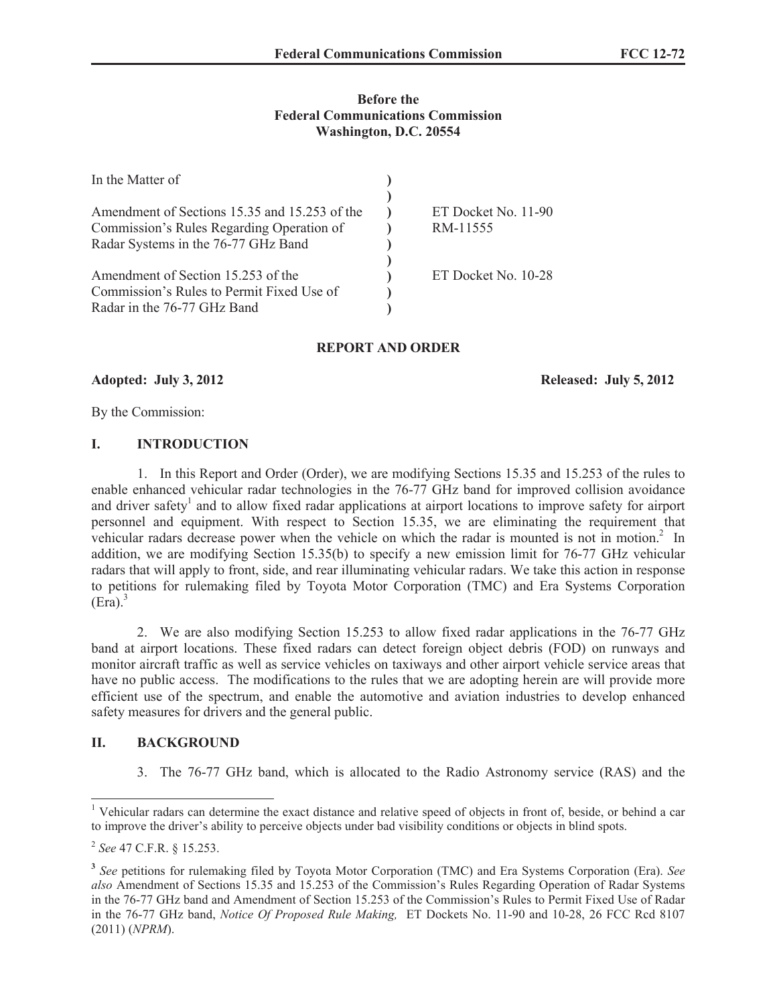### **Before the Federal Communications Commission Washington, D.C. 20554**

| In the Matter of                              |                     |
|-----------------------------------------------|---------------------|
|                                               |                     |
| Amendment of Sections 15.35 and 15.253 of the | ET Docket No. 11-90 |
| Commission's Rules Regarding Operation of     | RM-11555            |
| Radar Systems in the 76-77 GHz Band           |                     |
|                                               |                     |
| Amendment of Section 15.253 of the            | ET Docket No. 10-28 |
| Commission's Rules to Permit Fixed Use of     |                     |
| Radar in the 76-77 GHz Band                   |                     |

## **REPORT AND ORDER**

**Adopted: July 3, 2012 Released: July 5, 2012**

By the Commission:

### **I. INTRODUCTION**

1. In this Report and Order (Order), we are modifying Sections 15.35 and 15.253 of the rules to enable enhanced vehicular radar technologies in the 76-77 GHz band for improved collision avoidance and driver safety<sup>1</sup> and to allow fixed radar applications at airport locations to improve safety for airport personnel and equipment. With respect to Section 15.35, we are eliminating the requirement that vehicular radars decrease power when the vehicle on which the radar is mounted is not in motion.<sup>2</sup> In addition, we are modifying Section 15.35(b) to specify a new emission limit for 76-77 GHz vehicular radars that will apply to front, side, and rear illuminating vehicular radars. We take this action in response to petitions for rulemaking filed by Toyota Motor Corporation (TMC) and Era Systems Corporation  $(Era)^3$ 

2. We are also modifying Section 15.253 to allow fixed radar applications in the 76-77 GHz band at airport locations. These fixed radars can detect foreign object debris (FOD) on runways and monitor aircraft traffic as well as service vehicles on taxiways and other airport vehicle service areas that have no public access. The modifications to the rules that we are adopting herein are will provide more efficient use of the spectrum, and enable the automotive and aviation industries to develop enhanced safety measures for drivers and the general public.

### **II. BACKGROUND**

3. The 76-77 GHz band, which is allocated to the Radio Astronomy service (RAS) and the

<sup>&</sup>lt;sup>1</sup> Vehicular radars can determine the exact distance and relative speed of objects in front of, beside, or behind a car to improve the driver's ability to perceive objects under bad visibility conditions or objects in blind spots.

<sup>2</sup> *See* 47 C.F.R. § 15.253.

**<sup>3</sup>** *See* petitions for rulemaking filed by Toyota Motor Corporation (TMC) and Era Systems Corporation (Era). *See also* Amendment of Sections 15.35 and 15.253 of the Commission's Rules Regarding Operation of Radar Systems in the 76-77 GHz band and Amendment of Section 15.253 of the Commission's Rules to Permit Fixed Use of Radar in the 76-77 GHz band, *Notice Of Proposed Rule Making,* ET Dockets No. 11-90 and 10-28, 26 FCC Rcd 8107 (2011) (*NPRM*).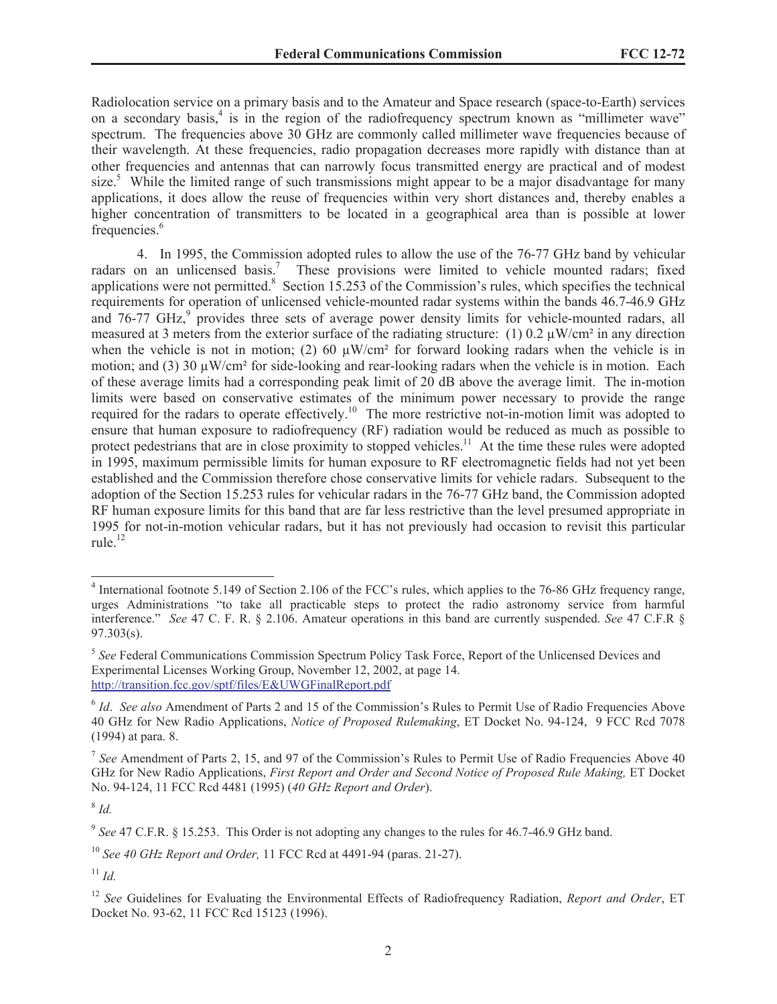Radiolocation service on a primary basis and to the Amateur and Space research (space-to-Earth) services on a secondary basis,<sup>4</sup> is in the region of the radiofrequency spectrum known as "millimeter wave" spectrum. The frequencies above 30 GHz are commonly called millimeter wave frequencies because of their wavelength. At these frequencies, radio propagation decreases more rapidly with distance than at other frequencies and antennas that can narrowly focus transmitted energy are practical and of modest size.<sup>5</sup> While the limited range of such transmissions might appear to be a major disadvantage for many applications, it does allow the reuse of frequencies within very short distances and, thereby enables a higher concentration of transmitters to be located in a geographical area than is possible at lower frequencies.<sup>6</sup>

4. In 1995, the Commission adopted rules to allow the use of the 76-77 GHz band by vehicular radars on an unlicensed basis.<sup>7</sup> These provisions were limited to vehicle mounted radars; fixed applications were not permitted.<sup>8</sup> Section 15.253 of the Commission's rules, which specifies the technical requirements for operation of unlicensed vehicle-mounted radar systems within the bands 46.7-46.9 GHz and  $76-77$  GHz, $9$  provides three sets of average power density limits for vehicle-mounted radars, all measured at 3 meters from the exterior surface of the radiating structure: (1) 0.2  $\mu$ W/cm<sup>2</sup> in any direction when the vehicle is not in motion; (2) 60  $\mu$ W/cm<sup>2</sup> for forward looking radars when the vehicle is in motion; and (3) 30  $\mu$ W/cm<sup>2</sup> for side-looking and rear-looking radars when the vehicle is in motion. Each of these average limits had a corresponding peak limit of 20 dB above the average limit. The in-motion limits were based on conservative estimates of the minimum power necessary to provide the range required for the radars to operate effectively.<sup>10</sup> The more restrictive not-in-motion limit was adopted to ensure that human exposure to radiofrequency (RF) radiation would be reduced as much as possible to protect pedestrians that are in close proximity to stopped vehicles.<sup>11</sup> At the time these rules were adopted in 1995, maximum permissible limits for human exposure to RF electromagnetic fields had not yet been established and the Commission therefore chose conservative limits for vehicle radars. Subsequent to the adoption of the Section 15.253 rules for vehicular radars in the 76-77 GHz band, the Commission adopted RF human exposure limits for this band that are far less restrictive than the level presumed appropriate in 1995 for not-in-motion vehicular radars, but it has not previously had occasion to revisit this particular rule. $^{12}$ 

8 *Id.*

<sup>&</sup>lt;sup>4</sup> International footnote 5.149 of Section 2.106 of the FCC's rules, which applies to the 76-86 GHz frequency range, urges Administrations "to take all practicable steps to protect the radio astronomy service from harmful interference." *See* 47 C. F. R. § 2.106. Amateur operations in this band are currently suspended. *See* 47 C.F.R § 97.303(s).

<sup>&</sup>lt;sup>5</sup> See Federal Communications Commission Spectrum Policy Task Force, Report of the Unlicensed Devices and Experimental Licenses Working Group, November 12, 2002, at page 14. http://transition.fcc.gov/sptf/files/E&UWGFinalReport.pdf

<sup>&</sup>lt;sup>6</sup> Id. See also Amendment of Parts 2 and 15 of the Commission's Rules to Permit Use of Radio Frequencies Above 40 GHz for New Radio Applications, *Notice of Proposed Rulemaking*, ET Docket No. 94-124, 9 FCC Rcd 7078 (1994) at para. 8.

<sup>&</sup>lt;sup>7</sup> See Amendment of Parts 2, 15, and 97 of the Commission's Rules to Permit Use of Radio Frequencies Above 40 GHz for New Radio Applications, *First Report and Order and Second Notice of Proposed Rule Making,* ET Docket No. 94-124, 11 FCC Rcd 4481 (1995) (*40 GHz Report and Order*).

<sup>9</sup> *See* 47 C.F.R. § 15.253. This Order is not adopting any changes to the rules for 46.7-46.9 GHz band.

<sup>10</sup> *See 40 GHz Report and Order,* 11 FCC Rcd at 4491-94 (paras. 21-27).

 $11$  *Id.* 

<sup>12</sup> *See* Guidelines for Evaluating the Environmental Effects of Radiofrequency Radiation, *Report and Order*, ET Docket No. 93-62, 11 FCC Rcd 15123 (1996).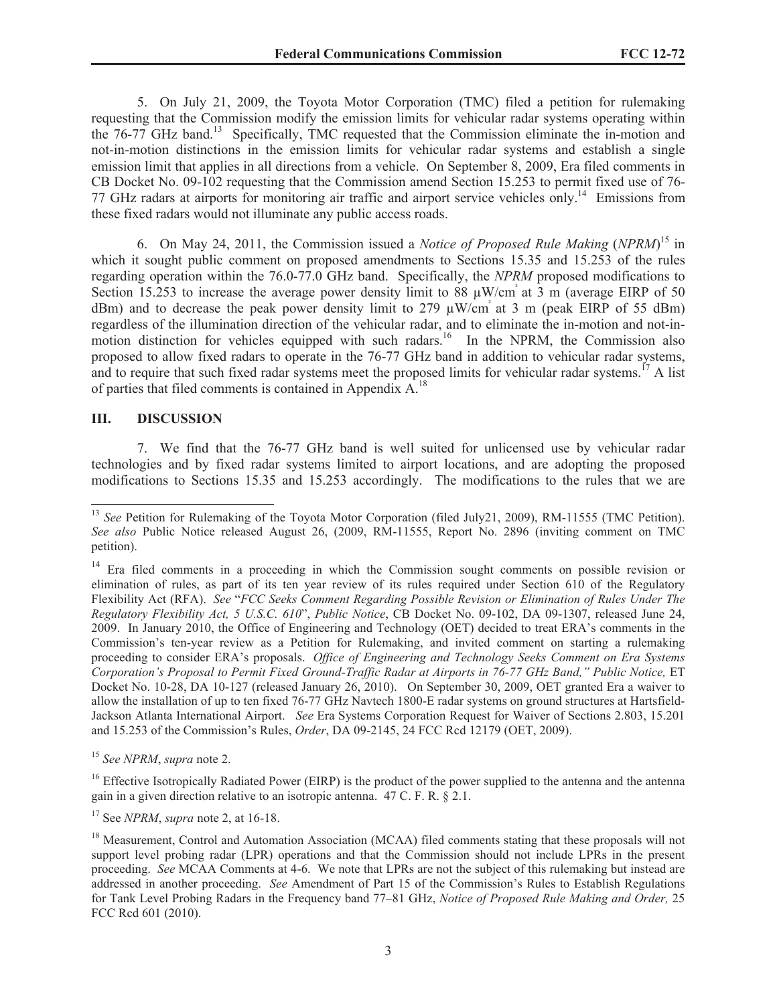5. On July 21, 2009, the Toyota Motor Corporation (TMC) filed a petition for rulemaking requesting that the Commission modify the emission limits for vehicular radar systems operating within the 76-77 GHz band.<sup>13</sup> Specifically, TMC requested that the Commission eliminate the in-motion and not-in-motion distinctions in the emission limits for vehicular radar systems and establish a single emission limit that applies in all directions from a vehicle. On September 8, 2009, Era filed comments in CB Docket No. 09-102 requesting that the Commission amend Section 15.253 to permit fixed use of 76- 77 GHz radars at airports for monitoring air traffic and airport service vehicles only.<sup>14</sup> Emissions from these fixed radars would not illuminate any public access roads.

6. On May 24, 2011, the Commission issued a *Notice of Proposed Rule Making* (*NPRM*) <sup>15</sup> in which it sought public comment on proposed amendments to Sections 15.35 and 15.253 of the rules regarding operation within the 76.0-77.0 GHz band. Specifically, the *NPRM* proposed modifications to Section 15.253 to increase the average power density limit to 88  $\mu$ W/cm<sup>2</sup> at 3 m (average EIRP of 50 dBm) and to decrease the peak power density limit to 279  $\mu$ W/cm<sup>2</sup> at 3 m (peak EIRP of 55 dBm) regardless of the illumination direction of the vehicular radar, and to eliminate the in-motion and not-inmotion distinction for vehicles equipped with such radars.<sup>16</sup> In the NPRM, the Commission also proposed to allow fixed radars to operate in the 76-77 GHz band in addition to vehicular radar systems, and to require that such fixed radar systems meet the proposed limits for vehicular radar systems.<sup>17</sup> A list of parties that filed comments is contained in Appendix  $A^{18}$ 

### **III. DISCUSSION**

7. We find that the 76-77 GHz band is well suited for unlicensed use by vehicular radar technologies and by fixed radar systems limited to airport locations, and are adopting the proposed modifications to Sections 15.35 and 15.253 accordingly. The modifications to the rules that we are

<sup>15</sup> *See NPRM*, *supra* note 2.

<sup>17</sup> See *NPRM*, *supra* note 2, at 16-18.

<sup>&</sup>lt;sup>13</sup> *See* Petition for Rulemaking of the Toyota Motor Corporation (filed July21, 2009), RM-11555 (TMC Petition). *See also* Public Notice released August 26, (2009, RM-11555, Report No. 2896 (inviting comment on TMC petition).

<sup>&</sup>lt;sup>14</sup> Era filed comments in a proceeding in which the Commission sought comments on possible revision or elimination of rules, as part of its ten year review of its rules required under Section 610 of the Regulatory Flexibility Act (RFA). *See* "*FCC Seeks Comment Regarding Possible Revision or Elimination of Rules Under The Regulatory Flexibility Act, 5 U.S.C. 610*", *Public Notice*, CB Docket No. 09-102, DA 09-1307, released June 24, 2009. In January 2010, the Office of Engineering and Technology (OET) decided to treat ERA's comments in the Commission's ten-year review as a Petition for Rulemaking, and invited comment on starting a rulemaking proceeding to consider ERA's proposals. *Office of Engineering and Technology Seeks Comment on Era Systems Corporation's Proposal to Permit Fixed Ground-Traffic Radar at Airports in 76-77 GHz Band," Public Notice,* ET Docket No. 10-28, DA 10-127 (released January 26, 2010). On September 30, 2009, OET granted Era a waiver to allow the installation of up to ten fixed 76-77 GHz Navtech 1800-E radar systems on ground structures at Hartsfield-Jackson Atlanta International Airport. *See* Era Systems Corporation Request for Waiver of Sections 2.803, 15.201 and 15.253 of the Commission's Rules, *Order*, DA 09-2145, 24 FCC Rcd 12179 (OET, 2009).

<sup>&</sup>lt;sup>16</sup> Effective Isotropically Radiated Power (EIRP) is the product of the power supplied to the antenna and the antenna gain in a given direction relative to an isotropic antenna. 47 C. F. R. § 2.1.

<sup>&</sup>lt;sup>18</sup> Measurement, Control and Automation Association (MCAA) filed comments stating that these proposals will not support level probing radar (LPR) operations and that the Commission should not include LPRs in the present proceeding. *See* MCAA Comments at 4-6. We note that LPRs are not the subject of this rulemaking but instead are addressed in another proceeding. *See* Amendment of Part 15 of the Commission's Rules to Establish Regulations for Tank Level Probing Radars in the Frequency band 77–81 GHz, *Notice of Proposed Rule Making and Order,* 25 FCC Rcd 601 (2010).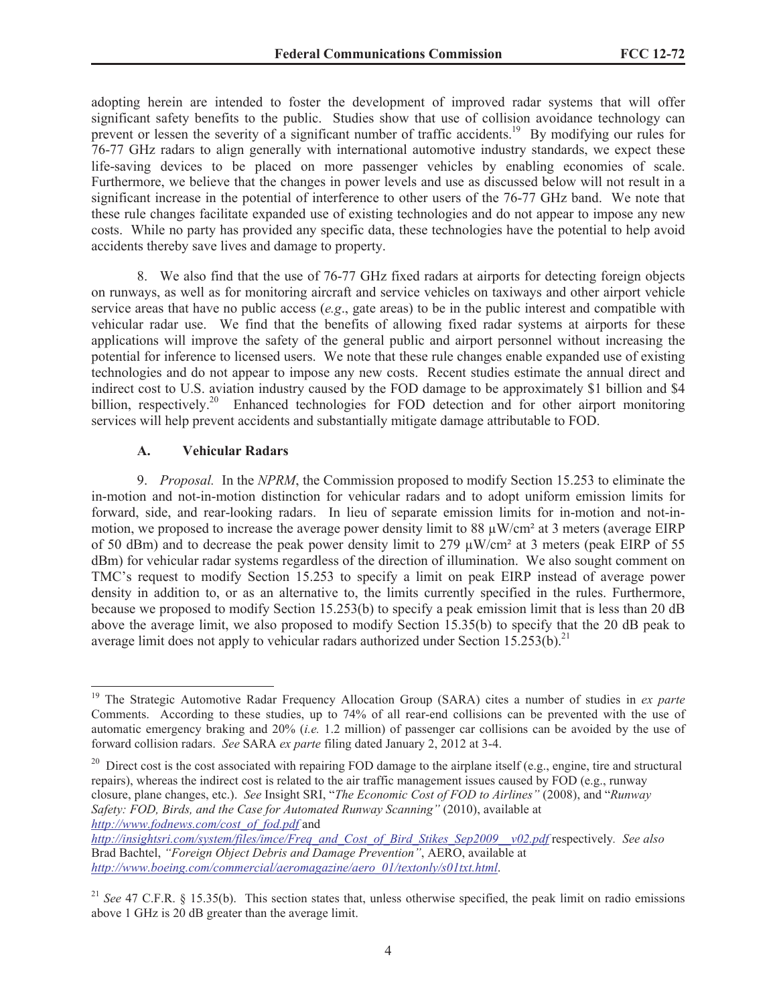adopting herein are intended to foster the development of improved radar systems that will offer significant safety benefits to the public. Studies show that use of collision avoidance technology can prevent or lessen the severity of a significant number of traffic accidents.<sup>19</sup> By modifying our rules for 76-77 GHz radars to align generally with international automotive industry standards, we expect these life-saving devices to be placed on more passenger vehicles by enabling economies of scale. Furthermore, we believe that the changes in power levels and use as discussed below will not result in a significant increase in the potential of interference to other users of the 76-77 GHz band. We note that these rule changes facilitate expanded use of existing technologies and do not appear to impose any new costs. While no party has provided any specific data, these technologies have the potential to help avoid accidents thereby save lives and damage to property.

8. We also find that the use of 76-77 GHz fixed radars at airports for detecting foreign objects on runways, as well as for monitoring aircraft and service vehicles on taxiways and other airport vehicle service areas that have no public access (*e.g*., gate areas) to be in the public interest and compatible with vehicular radar use. We find that the benefits of allowing fixed radar systems at airports for these applications will improve the safety of the general public and airport personnel without increasing the potential for inference to licensed users. We note that these rule changes enable expanded use of existing technologies and do not appear to impose any new costs. Recent studies estimate the annual direct and indirect cost to U.S. aviation industry caused by the FOD damage to be approximately \$1 billion and \$4 billion, respectively.<sup>20</sup> Enhanced technologies for FOD detection and for other airport monitoring services will help prevent accidents and substantially mitigate damage attributable to FOD.

### **A. Vehicular Radars**

9. *Proposal.* In the *NPRM*, the Commission proposed to modify Section 15.253 to eliminate the in-motion and not-in-motion distinction for vehicular radars and to adopt uniform emission limits for forward, side, and rear-looking radars. In lieu of separate emission limits for in-motion and not-inmotion, we proposed to increase the average power density limit to 88  $\mu$ W/cm<sup>2</sup> at 3 meters (average EIRP) of 50 dBm) and to decrease the peak power density limit to 279  $\mu$ W/cm<sup>2</sup> at 3 meters (peak EIRP of 55 dBm) for vehicular radar systems regardless of the direction of illumination. We also sought comment on TMC's request to modify Section 15.253 to specify a limit on peak EIRP instead of average power density in addition to, or as an alternative to, the limits currently specified in the rules. Furthermore, because we proposed to modify Section 15.253(b) to specify a peak emission limit that is less than 20 dB above the average limit, we also proposed to modify Section 15.35(b) to specify that the 20 dB peak to average limit does not apply to vehicular radars authorized under Section 15.253(b).<sup>21</sup>

<sup>&</sup>lt;sup>19</sup> The Strategic Automotive Radar Frequency Allocation Group (SARA) cites a number of studies in *ex parte* Comments. According to these studies, up to 74% of all rear-end collisions can be prevented with the use of automatic emergency braking and 20% (*i.e.* 1.2 million) of passenger car collisions can be avoided by the use of forward collision radars. *See* SARA *ex parte* filing dated January 2, 2012 at 3-4.

<sup>&</sup>lt;sup>20</sup> Direct cost is the cost associated with repairing FOD damage to the airplane itself (e.g., engine, tire and structural repairs), whereas the indirect cost is related to the air traffic management issues caused by FOD (e.g., runway closure, plane changes, etc.). *See* Insight SRI, "*The Economic Cost of FOD to Airlines"* (2008), and "*Runway Safety: FOD, Birds, and the Case for Automated Runway Scanning"* (2010), available at *http://www.fodnews.com/cost\_of\_fod.pdf* and

*http://insightsri.com/system/files/imce/Freq\_and\_Cost\_of\_Bird\_Stikes\_Sep2009\_\_v02.pdf* respectively*. See also*  Brad Bachtel, *"Foreign Object Debris and Damage Prevention"*, AERO, available at *http://www.boeing.com/commercial/aeromagazine/aero\_01/textonly/s01txt.html*.

<sup>&</sup>lt;sup>21</sup> *See* 47 C.F.R. § 15.35(b). This section states that, unless otherwise specified, the peak limit on radio emissions above 1 GHz is 20 dB greater than the average limit.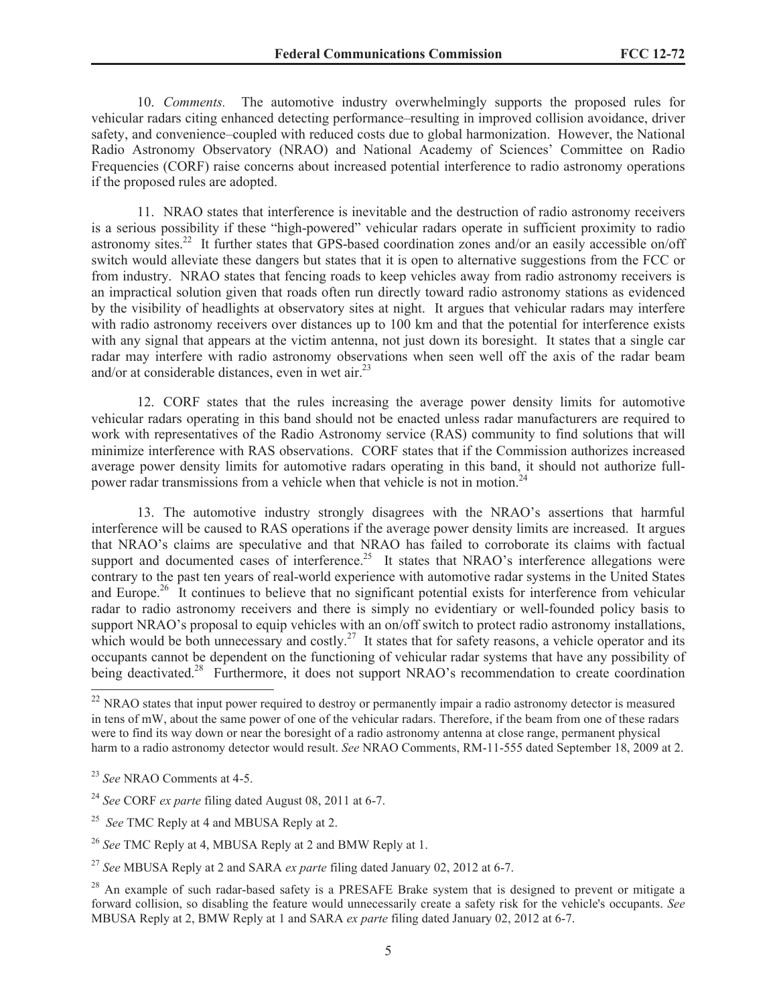10. *Comments.* The automotive industry overwhelmingly supports the proposed rules for vehicular radars citing enhanced detecting performance–resulting in improved collision avoidance, driver safety, and convenience–coupled with reduced costs due to global harmonization. However, the National Radio Astronomy Observatory (NRAO) and National Academy of Sciences' Committee on Radio Frequencies (CORF) raise concerns about increased potential interference to radio astronomy operations if the proposed rules are adopted.

11. NRAO states that interference is inevitable and the destruction of radio astronomy receivers is a serious possibility if these "high-powered" vehicular radars operate in sufficient proximity to radio astronomy sites.<sup>22</sup> It further states that GPS-based coordination zones and/or an easily accessible on/off switch would alleviate these dangers but states that it is open to alternative suggestions from the FCC or from industry. NRAO states that fencing roads to keep vehicles away from radio astronomy receivers is an impractical solution given that roads often run directly toward radio astronomy stations as evidenced by the visibility of headlights at observatory sites at night. It argues that vehicular radars may interfere with radio astronomy receivers over distances up to 100 km and that the potential for interference exists with any signal that appears at the victim antenna, not just down its boresight. It states that a single car radar may interfere with radio astronomy observations when seen well off the axis of the radar beam and/or at considerable distances, even in wet air.<sup>23</sup>

12. CORF states that the rules increasing the average power density limits for automotive vehicular radars operating in this band should not be enacted unless radar manufacturers are required to work with representatives of the Radio Astronomy service (RAS) community to find solutions that will minimize interference with RAS observations. CORF states that if the Commission authorizes increased average power density limits for automotive radars operating in this band, it should not authorize fullpower radar transmissions from a vehicle when that vehicle is not in motion.<sup>24</sup>

13. The automotive industry strongly disagrees with the NRAO's assertions that harmful interference will be caused to RAS operations if the average power density limits are increased. It argues that NRAO's claims are speculative and that NRAO has failed to corroborate its claims with factual support and documented cases of interference.<sup>25</sup> It states that NRAO's interference allegations were contrary to the past ten years of real-world experience with automotive radar systems in the United States and Europe.<sup>26</sup> It continues to believe that no significant potential exists for interference from vehicular radar to radio astronomy receivers and there is simply no evidentiary or well-founded policy basis to support NRAO's proposal to equip vehicles with an on/off switch to protect radio astronomy installations, which would be both unnecessary and costly.<sup>27</sup> It states that for safety reasons, a vehicle operator and its occupants cannot be dependent on the functioning of vehicular radar systems that have any possibility of being deactivated.<sup>28</sup> Furthermore, it does not support NRAO's recommendation to create coordination

<sup>&</sup>lt;sup>22</sup> NRAO states that input power required to destroy or permanently impair a radio astronomy detector is measured in tens of mW, about the same power of one of the vehicular radars. Therefore, if the beam from one of these radars were to find its way down or near the boresight of a radio astronomy antenna at close range, permanent physical harm to a radio astronomy detector would result. *See* NRAO Comments, RM-11-555 dated September 18, 2009 at 2.

<sup>23</sup> *See* NRAO Comments at 4-5.

<sup>24</sup> *See* CORF *ex parte* filing dated August 08, 2011 at 6-7.

<sup>25</sup> *See* TMC Reply at 4 and MBUSA Reply at 2.

<sup>26</sup> *See* TMC Reply at 4, MBUSA Reply at 2 and BMW Reply at 1.

<sup>27</sup> *See* MBUSA Reply at 2 and SARA *ex parte* filing dated January 02, 2012 at 6-7.

<sup>&</sup>lt;sup>28</sup> An example of such radar-based safety is a PRESAFE Brake system that is designed to prevent or mitigate a forward collision, so disabling the feature would unnecessarily create a safety risk for the vehicle's occupants. *See* MBUSA Reply at 2, BMW Reply at 1 and SARA *ex parte* filing dated January 02, 2012 at 6-7.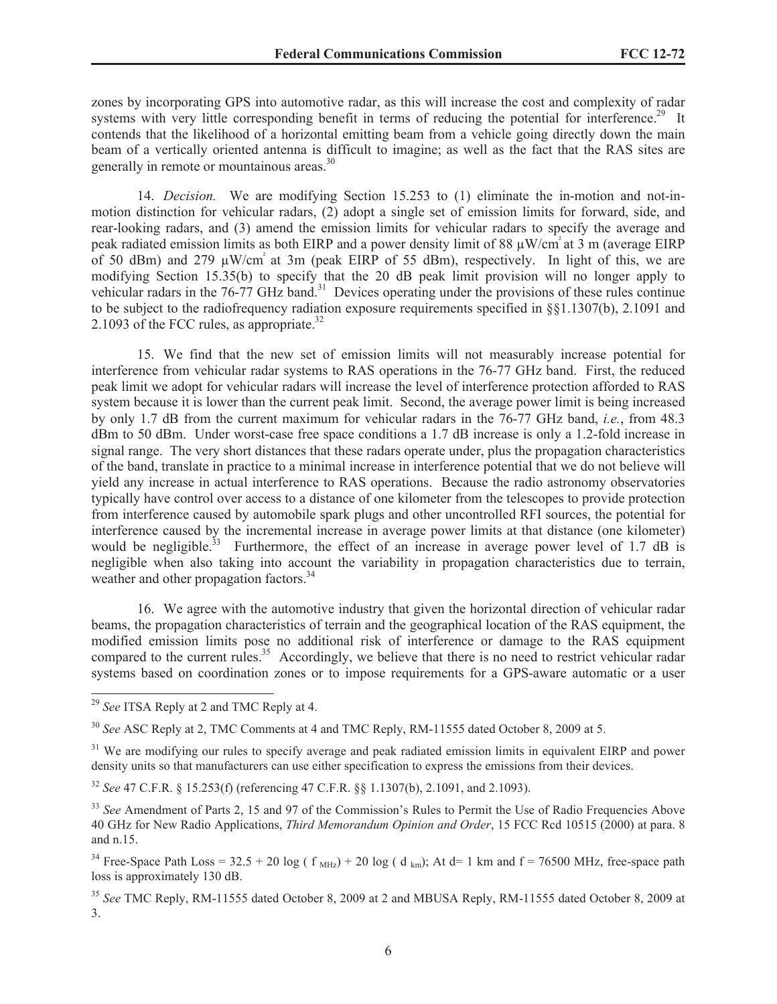zones by incorporating GPS into automotive radar, as this will increase the cost and complexity of radar systems with very little corresponding benefit in terms of reducing the potential for interference.<sup>29</sup> It contends that the likelihood of a horizontal emitting beam from a vehicle going directly down the main beam of a vertically oriented antenna is difficult to imagine; as well as the fact that the RAS sites are generally in remote or mountainous areas.<sup>30</sup>

14. *Decision.* We are modifying Section 15.253 to (1) eliminate the in-motion and not-inmotion distinction for vehicular radars, (2) adopt a single set of emission limits for forward, side, and rear-looking radars, and (3) amend the emission limits for vehicular radars to specify the average and peak radiated emission limits as both EIRP and a power density limit of 88  $\mu$ W/cm<sup>2</sup> at 3 m (average EIRP of 50 dBm) and 279  $\mu$ W/cm<sup>3</sup> at 3m (peak EIRP of 55 dBm), respectively. In light of this, we are modifying Section 15.35(b) to specify that the 20 dB peak limit provision will no longer apply to vehicular radars in the  $76-77$  GHz band.<sup>31</sup> Devices operating under the provisions of these rules continue to be subject to the radiofrequency radiation exposure requirements specified in §§1.1307(b), 2.1091 and 2.1093 of the FCC rules, as appropriate.<sup>32</sup>

15. We find that the new set of emission limits will not measurably increase potential for interference from vehicular radar systems to RAS operations in the 76-77 GHz band. First, the reduced peak limit we adopt for vehicular radars will increase the level of interference protection afforded to RAS system because it is lower than the current peak limit. Second, the average power limit is being increased by only 1.7 dB from the current maximum for vehicular radars in the 76-77 GHz band, *i.e.*, from 48.3 dBm to 50 dBm. Under worst-case free space conditions a 1.7 dB increase is only a 1.2-fold increase in signal range. The very short distances that these radars operate under, plus the propagation characteristics of the band, translate in practice to a minimal increase in interference potential that we do not believe will yield any increase in actual interference to RAS operations. Because the radio astronomy observatories typically have control over access to a distance of one kilometer from the telescopes to provide protection from interference caused by automobile spark plugs and other uncontrolled RFI sources, the potential for interference caused by the incremental increase in average power limits at that distance (one kilometer) would be negligible.<sup>33</sup> Furthermore, the effect of an increase in average power level of 1.7 dB is negligible when also taking into account the variability in propagation characteristics due to terrain, weather and other propagation factors.<sup>34</sup>

16. We agree with the automotive industry that given the horizontal direction of vehicular radar beams, the propagation characteristics of terrain and the geographical location of the RAS equipment, the modified emission limits pose no additional risk of interference or damage to the RAS equipment compared to the current rules.<sup>35</sup> Accordingly, we believe that there is no need to restrict vehicular radar systems based on coordination zones or to impose requirements for a GPS-aware automatic or a user

<sup>29</sup> *See* ITSA Reply at 2 and TMC Reply at 4.

<sup>30</sup> *See* ASC Reply at 2, TMC Comments at 4 and TMC Reply, RM-11555 dated October 8, 2009 at 5.

<sup>&</sup>lt;sup>31</sup> We are modifying our rules to specify average and peak radiated emission limits in equivalent EIRP and power density units so that manufacturers can use either specification to express the emissions from their devices.

<sup>32</sup> *See* 47 C.F.R. § 15.253(f) (referencing 47 C.F.R. §§ 1.1307(b), 2.1091, and 2.1093).

<sup>&</sup>lt;sup>33</sup> See Amendment of Parts 2, 15 and 97 of the Commission's Rules to Permit the Use of Radio Frequencies Above 40 GHz for New Radio Applications, *Third Memorandum Opinion and Order*, 15 FCC Rcd 10515 (2000) at para. 8 and n.15.

<sup>&</sup>lt;sup>34</sup> Free-Space Path Loss =  $32.5 + 20 \log (f_{MHz}) + 20 \log (d_{km})$ ; At d= 1 km and f = 76500 MHz, free-space path loss is approximately 130 dB.

<sup>35</sup> *See* TMC Reply, RM-11555 dated October 8, 2009 at 2 and MBUSA Reply, RM-11555 dated October 8, 2009 at 3.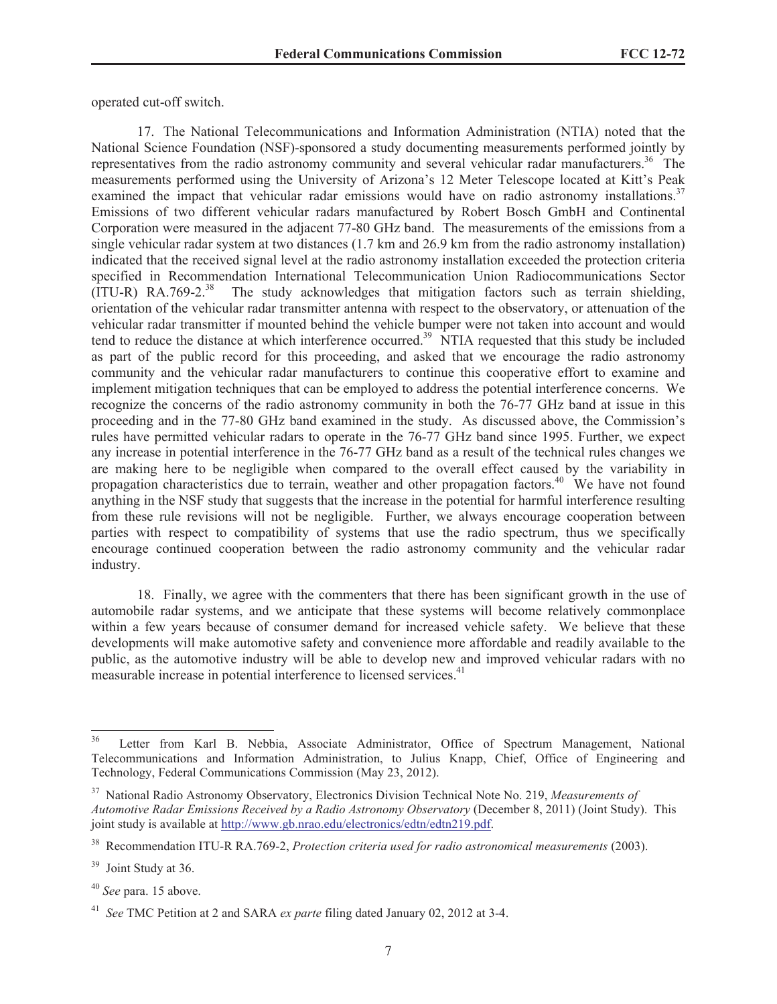operated cut-off switch.

17. The National Telecommunications and Information Administration (NTIA) noted that the National Science Foundation (NSF)-sponsored a study documenting measurements performed jointly by representatives from the radio astronomy community and several vehicular radar manufacturers.<sup>36</sup> The measurements performed using the University of Arizona's 12 Meter Telescope located at Kitt's Peak examined the impact that vehicular radar emissions would have on radio astronomy installations.<sup>37</sup> Emissions of two different vehicular radars manufactured by Robert Bosch GmbH and Continental Corporation were measured in the adjacent 77-80 GHz band. The measurements of the emissions from a single vehicular radar system at two distances (1.7 km and 26.9 km from the radio astronomy installation) indicated that the received signal level at the radio astronomy installation exceeded the protection criteria specified in Recommendation International Telecommunication Union Radiocommunications Sector  $(ITU-R) RA.769-2.<sup>38</sup>$  The study acknowledges that mitigation factors such as terrain shielding, orientation of the vehicular radar transmitter antenna with respect to the observatory, or attenuation of the vehicular radar transmitter if mounted behind the vehicle bumper were not taken into account and would tend to reduce the distance at which interference occurred.<sup>39</sup> NTIA requested that this study be included as part of the public record for this proceeding, and asked that we encourage the radio astronomy community and the vehicular radar manufacturers to continue this cooperative effort to examine and implement mitigation techniques that can be employed to address the potential interference concerns. We recognize the concerns of the radio astronomy community in both the 76-77 GHz band at issue in this proceeding and in the 77-80 GHz band examined in the study. As discussed above, the Commission's rules have permitted vehicular radars to operate in the 76-77 GHz band since 1995. Further, we expect any increase in potential interference in the 76-77 GHz band as a result of the technical rules changes we are making here to be negligible when compared to the overall effect caused by the variability in propagation characteristics due to terrain, weather and other propagation factors.<sup>40</sup> We have not found anything in the NSF study that suggests that the increase in the potential for harmful interference resulting from these rule revisions will not be negligible. Further, we always encourage cooperation between parties with respect to compatibility of systems that use the radio spectrum, thus we specifically encourage continued cooperation between the radio astronomy community and the vehicular radar industry.

18. Finally, we agree with the commenters that there has been significant growth in the use of automobile radar systems, and we anticipate that these systems will become relatively commonplace within a few years because of consumer demand for increased vehicle safety. We believe that these developments will make automotive safety and convenience more affordable and readily available to the public, as the automotive industry will be able to develop new and improved vehicular radars with no measurable increase in potential interference to licensed services.<sup>41</sup>

<sup>&</sup>lt;sup>36</sup> Letter from Karl B. Nebbia, Associate Administrator, Office of Spectrum Management, National Telecommunications and Information Administration, to Julius Knapp, Chief, Office of Engineering and Technology, Federal Communications Commission (May 23, 2012).

<sup>37</sup> National Radio Astronomy Observatory, Electronics Division Technical Note No. 219, *Measurements of Automotive Radar Emissions Received by a Radio Astronomy Observatory* (December 8, 2011) (Joint Study). This joint study is available at http://www.gb.nrao.edu/electronics/edtn/edtn219.pdf.

<sup>38</sup> Recommendation ITU-R RA.769-2, *Protection criteria used for radio astronomical measurements* (2003).

<sup>&</sup>lt;sup>39</sup> Joint Study at 36.

<sup>40</sup> *See* para. 15 above.

<sup>41</sup> *See* TMC Petition at 2 and SARA *ex parte* filing dated January 02, 2012 at 3-4.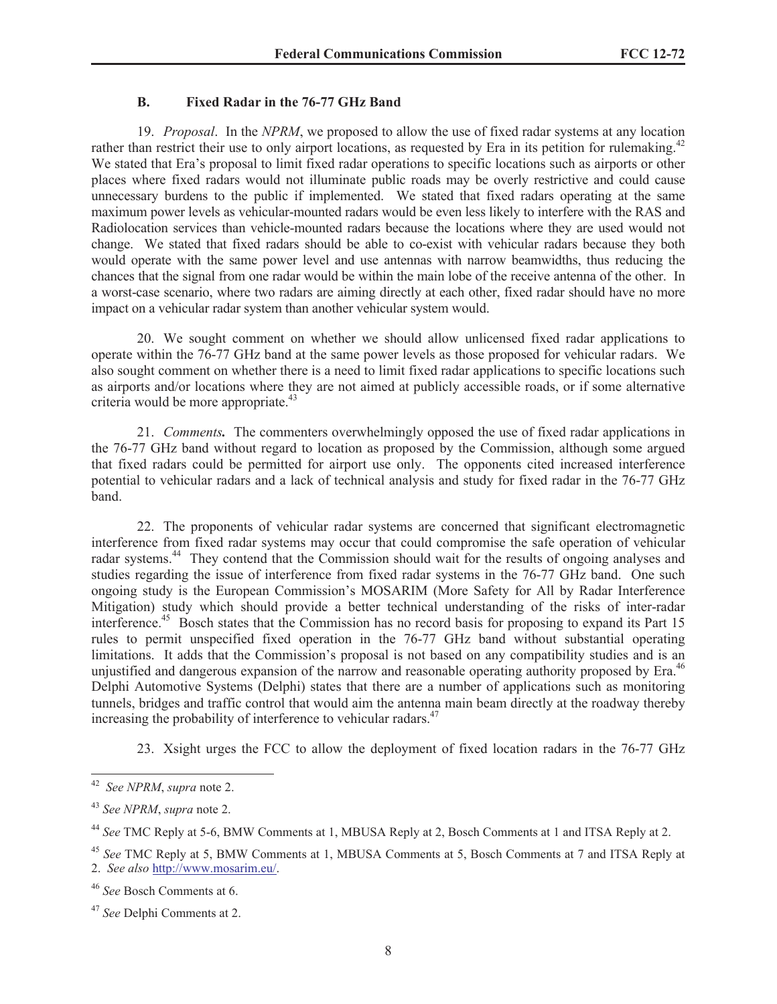### **B. Fixed Radar in the 76-77 GHz Band**

19. *Proposal*. In the *NPRM*, we proposed to allow the use of fixed radar systems at any location rather than restrict their use to only airport locations, as requested by Era in its petition for rulemaking.<sup>42</sup> We stated that Era's proposal to limit fixed radar operations to specific locations such as airports or other places where fixed radars would not illuminate public roads may be overly restrictive and could cause unnecessary burdens to the public if implemented. We stated that fixed radars operating at the same maximum power levels as vehicular-mounted radars would be even less likely to interfere with the RAS and Radiolocation services than vehicle-mounted radars because the locations where they are used would not change. We stated that fixed radars should be able to co-exist with vehicular radars because they both would operate with the same power level and use antennas with narrow beamwidths, thus reducing the chances that the signal from one radar would be within the main lobe of the receive antenna of the other. In a worst-case scenario, where two radars are aiming directly at each other, fixed radar should have no more impact on a vehicular radar system than another vehicular system would.

20. We sought comment on whether we should allow unlicensed fixed radar applications to operate within the 76-77 GHz band at the same power levels as those proposed for vehicular radars. We also sought comment on whether there is a need to limit fixed radar applications to specific locations such as airports and/or locations where they are not aimed at publicly accessible roads, or if some alternative criteria would be more appropriate.<sup>43</sup>

21. *Comments.* The commenters overwhelmingly opposed the use of fixed radar applications in the 76-77 GHz band without regard to location as proposed by the Commission, although some argued that fixed radars could be permitted for airport use only. The opponents cited increased interference potential to vehicular radars and a lack of technical analysis and study for fixed radar in the 76-77 GHz band.

22. The proponents of vehicular radar systems are concerned that significant electromagnetic interference from fixed radar systems may occur that could compromise the safe operation of vehicular radar systems.<sup>44</sup> They contend that the Commission should wait for the results of ongoing analyses and studies regarding the issue of interference from fixed radar systems in the 76-77 GHz band. One such ongoing study is the European Commission's MOSARIM (More Safety for All by Radar Interference Mitigation) study which should provide a better technical understanding of the risks of inter-radar interference.<sup>45</sup> Bosch states that the Commission has no record basis for proposing to expand its Part 15 rules to permit unspecified fixed operation in the 76-77 GHz band without substantial operating limitations. It adds that the Commission's proposal is not based on any compatibility studies and is an unjustified and dangerous expansion of the narrow and reasonable operating authority proposed by Era.<sup>46</sup> Delphi Automotive Systems (Delphi) states that there are a number of applications such as monitoring tunnels, bridges and traffic control that would aim the antenna main beam directly at the roadway thereby increasing the probability of interference to vehicular radars.<sup>47</sup>

23. Xsight urges the FCC to allow the deployment of fixed location radars in the 76-77 GHz

<sup>42</sup> *See NPRM*, *supra* note 2.

<sup>43</sup> *See NPRM*, *supra* note 2.

<sup>44</sup> *See* TMC Reply at 5-6, BMW Comments at 1, MBUSA Reply at 2, Bosch Comments at 1 and ITSA Reply at 2.

<sup>45</sup> *See* TMC Reply at 5, BMW Comments at 1, MBUSA Comments at 5, Bosch Comments at 7 and ITSA Reply at 2. *See also* http://www.mosarim.eu/.

<sup>46</sup> *See* Bosch Comments at 6.

<sup>47</sup> *See* Delphi Comments at 2.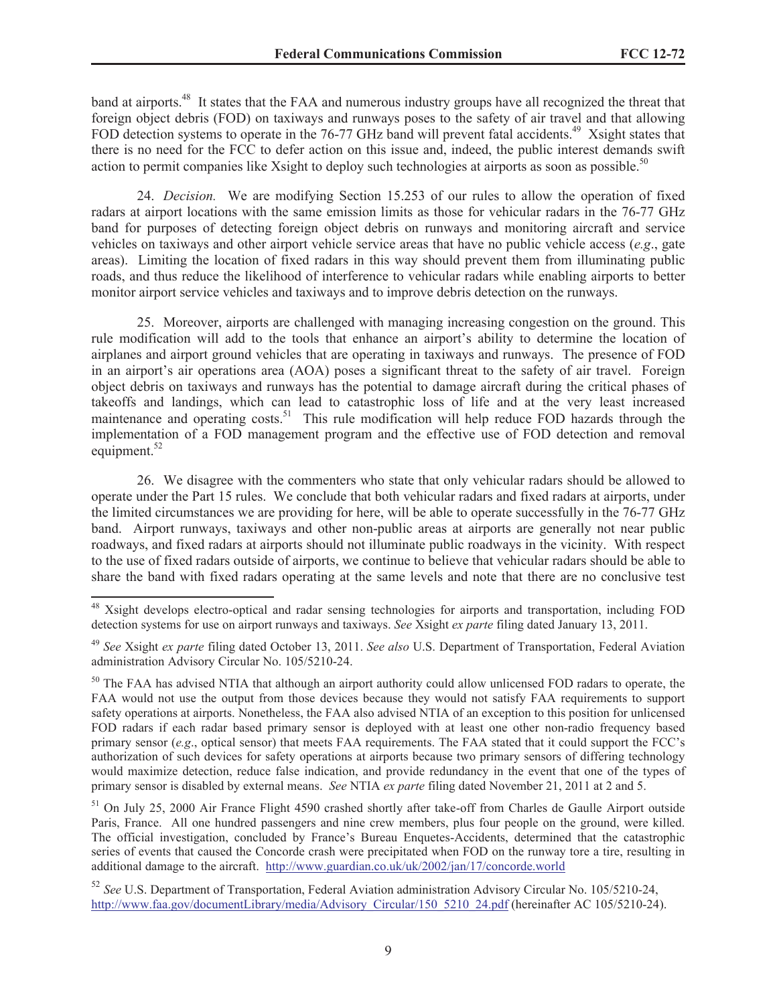band at airports.<sup>48</sup> It states that the FAA and numerous industry groups have all recognized the threat that foreign object debris (FOD) on taxiways and runways poses to the safety of air travel and that allowing FOD detection systems to operate in the 76-77 GHz band will prevent fatal accidents.<sup>49</sup> Xsight states that there is no need for the FCC to defer action on this issue and, indeed, the public interest demands swift action to permit companies like Xsight to deploy such technologies at airports as soon as possible.<sup>50</sup>

24. *Decision.* We are modifying Section 15.253 of our rules to allow the operation of fixed radars at airport locations with the same emission limits as those for vehicular radars in the 76-77 GHz band for purposes of detecting foreign object debris on runways and monitoring aircraft and service vehicles on taxiways and other airport vehicle service areas that have no public vehicle access (*e.g*., gate areas). Limiting the location of fixed radars in this way should prevent them from illuminating public roads, and thus reduce the likelihood of interference to vehicular radars while enabling airports to better monitor airport service vehicles and taxiways and to improve debris detection on the runways.

25. Moreover, airports are challenged with managing increasing congestion on the ground. This rule modification will add to the tools that enhance an airport's ability to determine the location of airplanes and airport ground vehicles that are operating in taxiways and runways. The presence of FOD in an airport's air operations area (AOA) poses a significant threat to the safety of air travel. Foreign object debris on taxiways and runways has the potential to damage aircraft during the critical phases of takeoffs and landings, which can lead to catastrophic loss of life and at the very least increased maintenance and operating costs.<sup>51</sup> This rule modification will help reduce FOD hazards through the implementation of a FOD management program and the effective use of FOD detection and removal equipment. $52$ 

26. We disagree with the commenters who state that only vehicular radars should be allowed to operate under the Part 15 rules. We conclude that both vehicular radars and fixed radars at airports, under the limited circumstances we are providing for here, will be able to operate successfully in the 76-77 GHz band. Airport runways, taxiways and other non-public areas at airports are generally not near public roadways, and fixed radars at airports should not illuminate public roadways in the vicinity. With respect to the use of fixed radars outside of airports, we continue to believe that vehicular radars should be able to share the band with fixed radars operating at the same levels and note that there are no conclusive test

<sup>48</sup> Xsight develops electro-optical and radar sensing technologies for airports and transportation, including FOD detection systems for use on airport runways and taxiways. *See* Xsight *ex parte* filing dated January 13, 2011.

<sup>49</sup> *See* Xsight *ex parte* filing dated October 13, 2011. *See also* U.S. Department of Transportation, Federal Aviation administration Advisory Circular No. 105/5210-24.

<sup>&</sup>lt;sup>50</sup> The FAA has advised NTIA that although an airport authority could allow unlicensed FOD radars to operate, the FAA would not use the output from those devices because they would not satisfy FAA requirements to support safety operations at airports. Nonetheless, the FAA also advised NTIA of an exception to this position for unlicensed FOD radars if each radar based primary sensor is deployed with at least one other non-radio frequency based primary sensor (*e.g*., optical sensor) that meets FAA requirements. The FAA stated that it could support the FCC's authorization of such devices for safety operations at airports because two primary sensors of differing technology would maximize detection, reduce false indication, and provide redundancy in the event that one of the types of primary sensor is disabled by external means. *See* NTIA *ex parte* filing dated November 21, 2011 at 2 and 5.

<sup>&</sup>lt;sup>51</sup> On July 25, 2000 Air France Flight 4590 crashed shortly after take-off from Charles de Gaulle Airport outside Paris, France. All one hundred passengers and nine crew members, plus four people on the ground, were killed. The official investigation, concluded by France's Bureau Enquetes-Accidents, determined that the catastrophic series of events that caused the Concorde crash were precipitated when FOD on the runway tore a tire, resulting in additional damage to the aircraft. http://www.guardian.co.uk/uk/2002/jan/17/concorde.world

<sup>52</sup> *See* U.S. Department of Transportation, Federal Aviation administration Advisory Circular No. 105/5210-24, http://www.faa.gov/documentLibrary/media/Advisory\_Circular/150\_5210\_24.pdf (hereinafter AC 105/5210-24).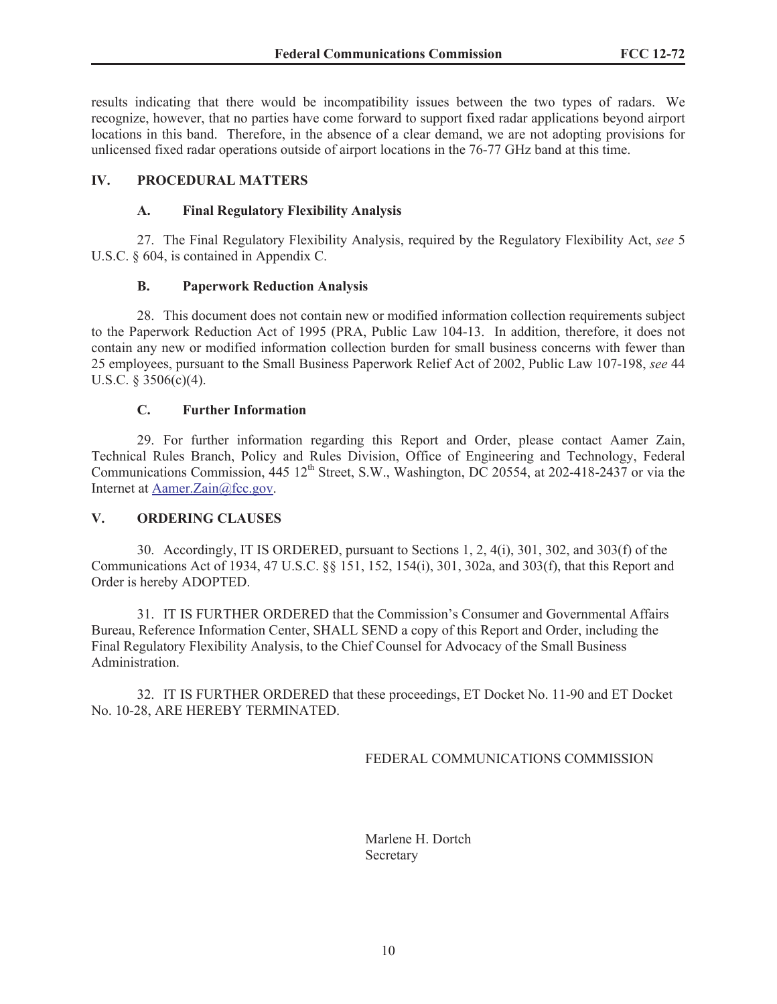results indicating that there would be incompatibility issues between the two types of radars. We recognize, however, that no parties have come forward to support fixed radar applications beyond airport locations in this band. Therefore, in the absence of a clear demand, we are not adopting provisions for unlicensed fixed radar operations outside of airport locations in the 76-77 GHz band at this time.

## **IV. PROCEDURAL MATTERS**

### **A. Final Regulatory Flexibility Analysis**

27. The Final Regulatory Flexibility Analysis, required by the Regulatory Flexibility Act, *see* 5 U.S.C. § 604, is contained in Appendix C.

### **B. Paperwork Reduction Analysis**

28. This document does not contain new or modified information collection requirements subject to the Paperwork Reduction Act of 1995 (PRA, Public Law 104-13. In addition, therefore, it does not contain any new or modified information collection burden for small business concerns with fewer than 25 employees, pursuant to the Small Business Paperwork Relief Act of 2002, Public Law 107-198, *see* 44 U.S.C. § 3506(c)(4).

### **C. Further Information**

29. For further information regarding this Report and Order, please contact Aamer Zain, Technical Rules Branch, Policy and Rules Division, Office of Engineering and Technology, Federal Communications Commission,  $445 \frac{12^{th}}{25}$  Street, S.W., Washington, DC 20554, at 202-418-2437 or via the Internet at Aamer.Zain@fcc.gov.

### **V. ORDERING CLAUSES**

30. Accordingly, IT IS ORDERED, pursuant to Sections 1, 2, 4(i), 301, 302, and 303(f) of the Communications Act of 1934, 47 U.S.C. §§ 151, 152, 154(i), 301, 302a, and 303(f), that this Report and Order is hereby ADOPTED.

31. IT IS FURTHER ORDERED that the Commission's Consumer and Governmental Affairs Bureau, Reference Information Center, SHALL SEND a copy of this Report and Order, including the Final Regulatory Flexibility Analysis, to the Chief Counsel for Advocacy of the Small Business Administration.

32. IT IS FURTHER ORDERED that these proceedings, ET Docket No. 11-90 and ET Docket No. 10-28, ARE HEREBY TERMINATED.

FEDERAL COMMUNICATIONS COMMISSION

Marlene H. Dortch Secretary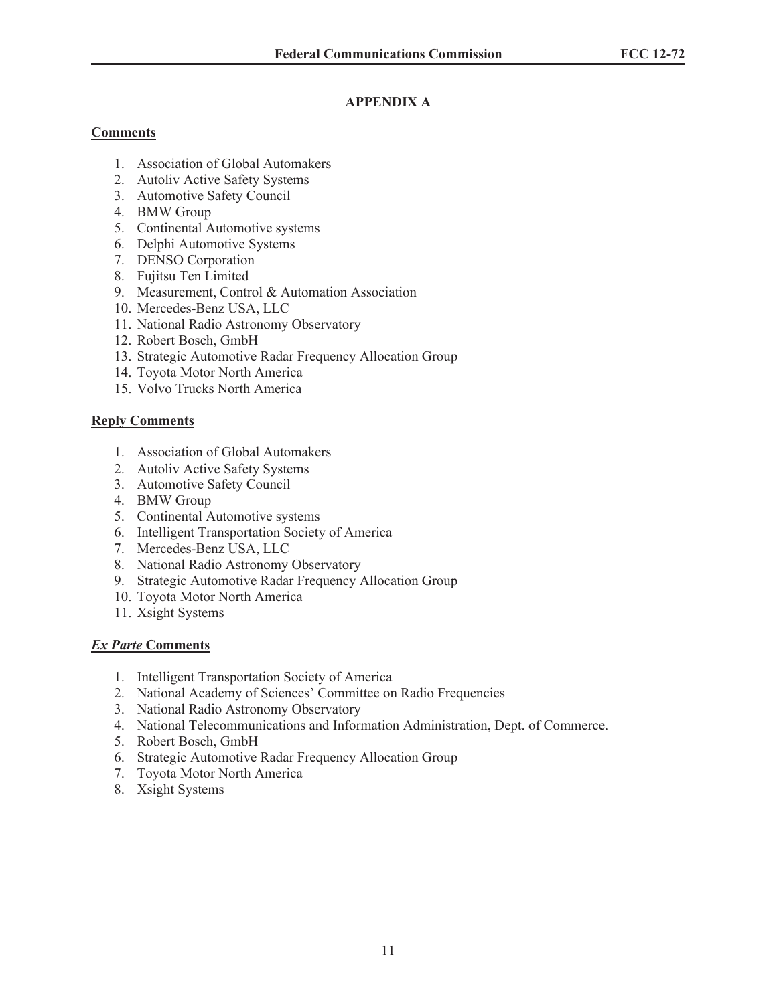# **APPENDIX A**

## **Comments**

- 1. Association of Global Automakers
- 2. Autoliv Active Safety Systems
- 3. Automotive Safety Council
- 4. BMW Group
- 5. Continental Automotive systems
- 6. Delphi Automotive Systems
- 7. DENSO Corporation
- 8. Fujitsu Ten Limited
- 9. Measurement, Control & Automation Association
- 10. Mercedes-Benz USA, LLC
- 11. National Radio Astronomy Observatory
- 12. Robert Bosch, GmbH
- 13. Strategic Automotive Radar Frequency Allocation Group
- 14. Toyota Motor North America
- 15. Volvo Trucks North America

## **Reply Comments**

- 1. Association of Global Automakers
- 2. Autoliv Active Safety Systems
- 3. Automotive Safety Council
- 4. BMW Group
- 5. Continental Automotive systems
- 6. Intelligent Transportation Society of America
- 7. Mercedes-Benz USA, LLC
- 8. National Radio Astronomy Observatory
- 9. Strategic Automotive Radar Frequency Allocation Group
- 10. Toyota Motor North America
- 11. Xsight Systems

## *Ex Parte* **Comments**

- 1. Intelligent Transportation Society of America
- 2. National Academy of Sciences' Committee on Radio Frequencies
- 3. National Radio Astronomy Observatory
- 4. National Telecommunications and Information Administration, Dept. of Commerce.
- 5. Robert Bosch, GmbH
- 6. Strategic Automotive Radar Frequency Allocation Group
- 7. Toyota Motor North America
- 8. Xsight Systems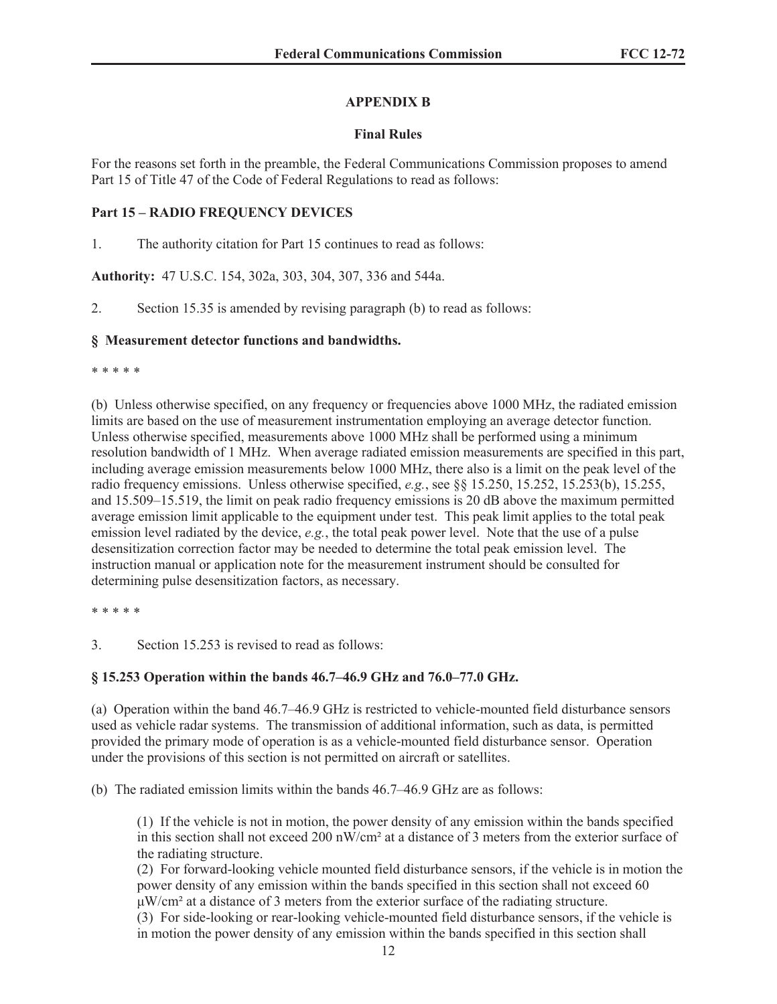## **APPENDIX B**

## **Final Rules**

For the reasons set forth in the preamble, the Federal Communications Commission proposes to amend Part 15 of Title 47 of the Code of Federal Regulations to read as follows:

## **Part 15 – RADIO FREQUENCY DEVICES**

1. The authority citation for Part 15 continues to read as follows:

**Authority:** 47 U.S.C. 154, 302a, 303, 304, 307, 336 and 544a.

2. Section 15.35 is amended by revising paragraph (b) to read as follows:

## **§ Measurement detector functions and bandwidths.**

\* \* \* \* \*

(b) Unless otherwise specified, on any frequency or frequencies above 1000 MHz, the radiated emission limits are based on the use of measurement instrumentation employing an average detector function. Unless otherwise specified, measurements above 1000 MHz shall be performed using a minimum resolution bandwidth of 1 MHz. When average radiated emission measurements are specified in this part, including average emission measurements below 1000 MHz, there also is a limit on the peak level of the radio frequency emissions. Unless otherwise specified, *e.g.*, see §§ 15.250, 15.252, 15.253(b), 15.255, and 15.509–15.519, the limit on peak radio frequency emissions is 20 dB above the maximum permitted average emission limit applicable to the equipment under test. This peak limit applies to the total peak emission level radiated by the device, *e.g.*, the total peak power level. Note that the use of a pulse desensitization correction factor may be needed to determine the total peak emission level. The instruction manual or application note for the measurement instrument should be consulted for determining pulse desensitization factors, as necessary.

\* \* \* \* \*

3. Section 15.253 is revised to read as follows:

## **§ 15.253 Operation within the bands 46.7–46.9 GHz and 76.0–77.0 GHz.**

(a) Operation within the band 46.7–46.9 GHz is restricted to vehicle-mounted field disturbance sensors used as vehicle radar systems. The transmission of additional information, such as data, is permitted provided the primary mode of operation is as a vehicle-mounted field disturbance sensor. Operation under the provisions of this section is not permitted on aircraft or satellites.

(b) The radiated emission limits within the bands 46.7–46.9 GHz are as follows:

(1) If the vehicle is not in motion, the power density of any emission within the bands specified in this section shall not exceed 200 nW/cm² at a distance of 3 meters from the exterior surface of the radiating structure.

(2) For forward-looking vehicle mounted field disturbance sensors, if the vehicle is in motion the power density of any emission within the bands specified in this section shall not exceed 60 μW/cm² at a distance of 3 meters from the exterior surface of the radiating structure.

(3) For side-looking or rear-looking vehicle-mounted field disturbance sensors, if the vehicle is in motion the power density of any emission within the bands specified in this section shall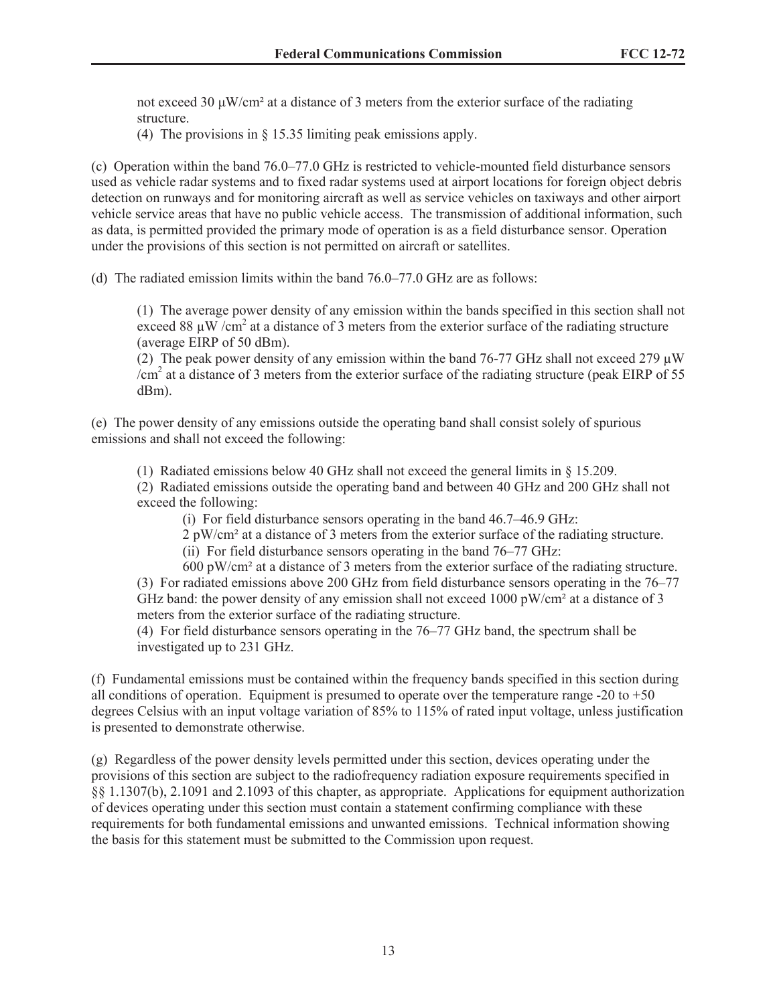not exceed 30 μW/cm<sup>2</sup> at a distance of 3 meters from the exterior surface of the radiating structure.

(4) The provisions in § 15.35 limiting peak emissions apply.

(c) Operation within the band 76.0–77.0 GHz is restricted to vehicle-mounted field disturbance sensors used as vehicle radar systems and to fixed radar systems used at airport locations for foreign object debris detection on runways and for monitoring aircraft as well as service vehicles on taxiways and other airport vehicle service areas that have no public vehicle access. The transmission of additional information, such as data, is permitted provided the primary mode of operation is as a field disturbance sensor. Operation under the provisions of this section is not permitted on aircraft or satellites.

(d) The radiated emission limits within the band 76.0–77.0 GHz are as follows:

(1) The average power density of any emission within the bands specified in this section shall not exceed 88  $\mu$ W /cm<sup>2</sup> at a distance of 3 meters from the exterior surface of the radiating structure (average EIRP of 50 dBm).

(2) The peak power density of any emission within the band  $76-77$  GHz shall not exceed 279  $\mu$ W /cm<sup>2</sup> at a distance of 3 meters from the exterior surface of the radiating structure (peak EIRP of 55 dBm).

(e) The power density of any emissions outside the operating band shall consist solely of spurious emissions and shall not exceed the following:

(1) Radiated emissions below 40 GHz shall not exceed the general limits in § 15.209.

(2) Radiated emissions outside the operating band and between 40 GHz and 200 GHz shall not exceed the following:

(i) For field disturbance sensors operating in the band 46.7–46.9 GHz:

2 pW/cm² at a distance of 3 meters from the exterior surface of the radiating structure.

(ii) For field disturbance sensors operating in the band 76–77 GHz:

600 pW/cm² at a distance of 3 meters from the exterior surface of the radiating structure. (3) For radiated emissions above 200 GHz from field disturbance sensors operating in the 76–77 GHz band: the power density of any emission shall not exceed  $1000 \text{ pW/cm}^2$  at a distance of 3 meters from the exterior surface of the radiating structure.

(4) For field disturbance sensors operating in the 76–77 GHz band, the spectrum shall be investigated up to 231 GHz.

(f) Fundamental emissions must be contained within the frequency bands specified in this section during all conditions of operation. Equipment is presumed to operate over the temperature range  $-20$  to  $+50$ degrees Celsius with an input voltage variation of 85% to 115% of rated input voltage, unless justification is presented to demonstrate otherwise.

(g) Regardless of the power density levels permitted under this section, devices operating under the provisions of this section are subject to the radiofrequency radiation exposure requirements specified in §§ 1.1307(b), 2.1091 and 2.1093 of this chapter, as appropriate. Applications for equipment authorization of devices operating under this section must contain a statement confirming compliance with these requirements for both fundamental emissions and unwanted emissions. Technical information showing the basis for this statement must be submitted to the Commission upon request.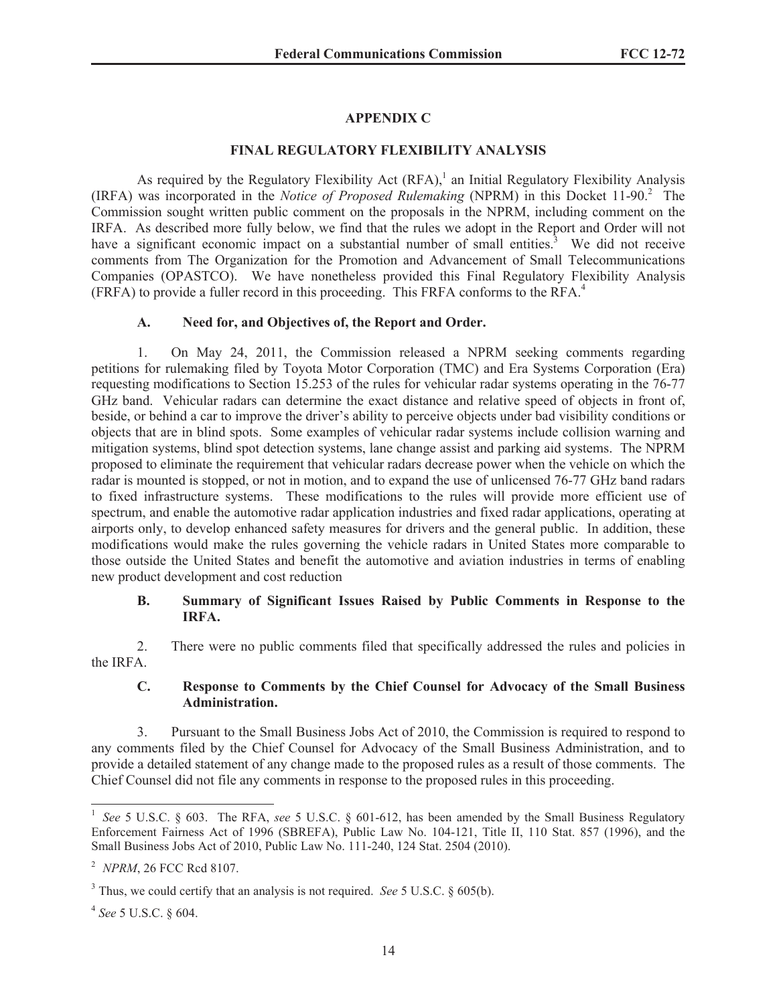## **APPENDIX C**

### **FINAL REGULATORY FLEXIBILITY ANALYSIS**

As required by the Regulatory Flexibility Act  $(RFA)$ ,<sup>1</sup> an Initial Regulatory Flexibility Analysis (IRFA) was incorporated in the *Notice of Proposed Rulemaking* (NPRM) in this Docket 11-90.<sup>2</sup> The Commission sought written public comment on the proposals in the NPRM, including comment on the IRFA. As described more fully below, we find that the rules we adopt in the Report and Order will not have a significant economic impact on a substantial number of small entities.<sup>3</sup> We did not receive comments from The Organization for the Promotion and Advancement of Small Telecommunications Companies (OPASTCO). We have nonetheless provided this Final Regulatory Flexibility Analysis (FRFA) to provide a fuller record in this proceeding. This FRFA conforms to the RFA.<sup>4</sup>

### **A. Need for, and Objectives of, the Report and Order.**

1. On May 24, 2011, the Commission released a NPRM seeking comments regarding petitions for rulemaking filed by Toyota Motor Corporation (TMC) and Era Systems Corporation (Era) requesting modifications to Section 15.253 of the rules for vehicular radar systems operating in the 76-77 GHz band. Vehicular radars can determine the exact distance and relative speed of objects in front of, beside, or behind a car to improve the driver's ability to perceive objects under bad visibility conditions or objects that are in blind spots. Some examples of vehicular radar systems include collision warning and mitigation systems, blind spot detection systems, lane change assist and parking aid systems. The NPRM proposed to eliminate the requirement that vehicular radars decrease power when the vehicle on which the radar is mounted is stopped, or not in motion, and to expand the use of unlicensed 76-77 GHz band radars to fixed infrastructure systems. These modifications to the rules will provide more efficient use of spectrum, and enable the automotive radar application industries and fixed radar applications, operating at airports only, to develop enhanced safety measures for drivers and the general public. In addition, these modifications would make the rules governing the vehicle radars in United States more comparable to those outside the United States and benefit the automotive and aviation industries in terms of enabling new product development and cost reduction

#### **B. Summary of Significant Issues Raised by Public Comments in Response to the IRFA.**

2. There were no public comments filed that specifically addressed the rules and policies in the IRFA.

### **C. Response to Comments by the Chief Counsel for Advocacy of the Small Business Administration.**

3. Pursuant to the Small Business Jobs Act of 2010, the Commission is required to respond to any comments filed by the Chief Counsel for Advocacy of the Small Business Administration, and to provide a detailed statement of any change made to the proposed rules as a result of those comments. The Chief Counsel did not file any comments in response to the proposed rules in this proceeding.

<sup>&</sup>lt;sup>1</sup> See 5 U.S.C. § 603. The RFA, see 5 U.S.C. § 601-612, has been amended by the Small Business Regulatory Enforcement Fairness Act of 1996 (SBREFA), Public Law No. 104-121, Title II, 110 Stat. 857 (1996), and the Small Business Jobs Act of 2010, Public Law No. 111-240, 124 Stat. 2504 (2010).

<sup>2</sup> *NPRM*, 26 FCC Rcd 8107.

<sup>3</sup> Thus, we could certify that an analysis is not required. *See* 5 U.S.C. § 605(b).

<sup>4</sup> *See* 5 U.S.C. § 604.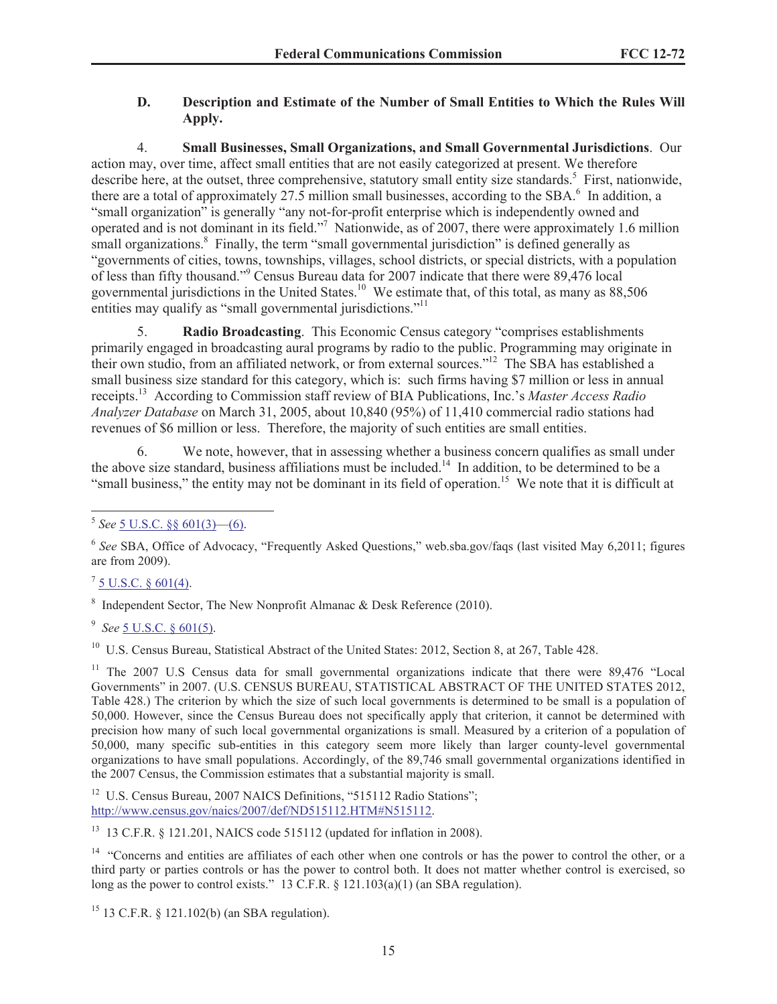## **D. Description and Estimate of the Number of Small Entities to Which the Rules Will Apply.**

4. **Small Businesses, Small Organizations, and Small Governmental Jurisdictions**. Our action may, over time, affect small entities that are not easily categorized at present. We therefore describe here, at the outset, three comprehensive, statutory small entity size standards.<sup>5</sup> First, nationwide, there are a total of approximately 27.5 million small businesses, according to the SBA. $<sup>6</sup>$  In addition, a</sup> "small organization" is generally "any not-for-profit enterprise which is independently owned and operated and is not dominant in its field."<sup>7</sup> Nationwide, as of 2007, there were approximately 1.6 million small organizations.<sup>8</sup> Finally, the term "small governmental jurisdiction" is defined generally as "governments of cities, towns, townships, villages, school districts, or special districts, with a population of less than fifty thousand."<sup>9</sup> Census Bureau data for 2007 indicate that there were 89,476 local governmental jurisdictions in the United States.<sup>10</sup> We estimate that, of this total, as many as 88,506 entities may qualify as "small governmental jurisdictions."<sup>11</sup>

5. **Radio Broadcasting**. This Economic Census category "comprises establishments primarily engaged in broadcasting aural programs by radio to the public. Programming may originate in their own studio, from an affiliated network, or from external sources."<sup>12</sup> The SBA has established a small business size standard for this category, which is: such firms having \$7 million or less in annual receipts.<sup>13</sup> According to Commission staff review of BIA Publications, Inc.'s *Master Access Radio Analyzer Database* on March 31, 2005, about 10,840 (95%) of 11,410 commercial radio stations had revenues of \$6 million or less. Therefore, the majority of such entities are small entities.

6. We note, however, that in assessing whether a business concern qualifies as small under the above size standard, business affiliations must be included.<sup>14</sup> In addition, to be determined to be a "small business," the entity may not be dominant in its field of operation.<sup>15</sup> We note that it is difficult at

 $^7$  <u>5 U.S.C. § 601(4)</u>.

<sup>8</sup> Independent Sector, The New Nonprofit Almanac & Desk Reference (2010).

9 *See* 5 U.S.C. § 601(5).

<sup>10</sup> U.S. Census Bureau, Statistical Abstract of the United States: 2012, Section 8, at 267, Table 428.

<sup>11</sup> The 2007 U.S Census data for small governmental organizations indicate that there were 89,476 "Local Governments" in 2007. (U.S. CENSUS BUREAU, STATISTICAL ABSTRACT OF THE UNITED STATES 2012, Table 428.) The criterion by which the size of such local governments is determined to be small is a population of 50,000. However, since the Census Bureau does not specifically apply that criterion, it cannot be determined with precision how many of such local governmental organizations is small. Measured by a criterion of a population of 50,000, many specific sub-entities in this category seem more likely than larger county-level governmental organizations to have small populations. Accordingly, of the 89,746 small governmental organizations identified in the 2007 Census, the Commission estimates that a substantial majority is small.

<sup>12</sup> U.S. Census Bureau, 2007 NAICS Definitions, "515112 Radio Stations"; http://www.census.gov/naics/2007/def/ND515112.HTM#N515112.

<sup>13</sup> 13 C.F.R. § 121.201, NAICS code 515112 (updated for inflation in 2008).

 $14$  "Concerns and entities are affiliates of each other when one controls or has the power to control the other, or a third party or parties controls or has the power to control both. It does not matter whether control is exercised, so long as the power to control exists." 13 C.F.R. § 121.103(a)(1) (an SBA regulation).

<sup>15</sup> 13 C.F.R. § 121.102(b) (an SBA regulation).

<sup>5</sup> *See* 5 U.S.C. §§ 601(3)—(6).

<sup>&</sup>lt;sup>6</sup> See SBA, Office of Advocacy, "Frequently Asked Questions," web.sba.gov/faqs (last visited May 6,2011; figures are from 2009).